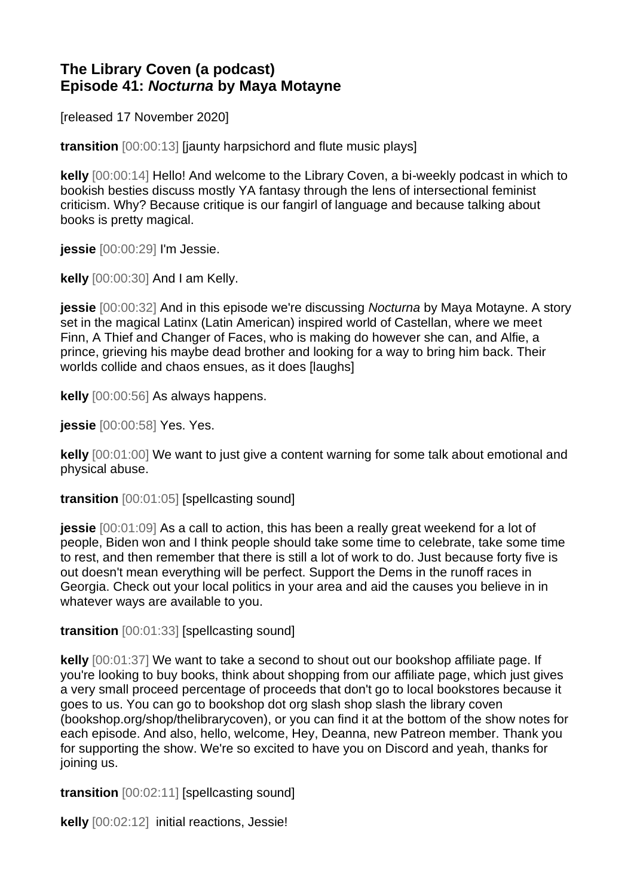## **The Library Coven (a podcast) Episode 41:** *Nocturna* **by Maya Motayne**

[released 17 November 2020]

**transition** [00:00:13] [jaunty harpsichord and flute music plays]

**kelly** [00:00:14] Hello! And welcome to the Library Coven, a bi-weekly podcast in which to bookish besties discuss mostly YA fantasy through the lens of intersectional feminist criticism. Why? Because critique is our fangirl of language and because talking about books is pretty magical.

**jessie** [00:00:29] I'm Jessie.

**kelly** [00:00:30] And I am Kelly.

**jessie** [00:00:32] And in this episode we're discussing *Nocturna* by Maya Motayne. A story set in the magical Latinx (Latin American) inspired world of Castellan, where we meet Finn, A Thief and Changer of Faces, who is making do however she can, and Alfie, a prince, grieving his maybe dead brother and looking for a way to bring him back. Their worlds collide and chaos ensues, as it does [laughs]

**kelly** [00:00:56] As always happens.

**jessie** [00:00:58] Yes. Yes.

**kelly** [00:01:00] We want to just give a content warning for some talk about emotional and physical abuse.

**transition** [00:01:05] [spellcasting sound]

**jessie** [00:01:09] As a call to action, this has been a really great weekend for a lot of people, Biden won and I think people should take some time to celebrate, take some time to rest, and then remember that there is still a lot of work to do. Just because forty five is out doesn't mean everything will be perfect. Support the Dems in the runoff races in Georgia. Check out your local politics in your area and aid the causes you believe in in whatever ways are available to you.

**transition** [00:01:33] [spellcasting sound]

**kelly** [00:01:37] We want to take a second to shout out our bookshop affiliate page. If you're looking to buy books, think about shopping from our affiliate page, which just gives a very small proceed percentage of proceeds that don't go to local bookstores because it goes to us. You can go to bookshop dot org slash shop slash the library coven (bookshop.org/shop/thelibrarycoven), or you can find it at the bottom of the show notes for each episode. And also, hello, welcome, Hey, Deanna, new Patreon member. Thank you for supporting the show. We're so excited to have you on Discord and yeah, thanks for joining us.

**transition** [00:02:11] [spellcasting sound]

**kelly** [00:02:12] initial reactions, Jessie!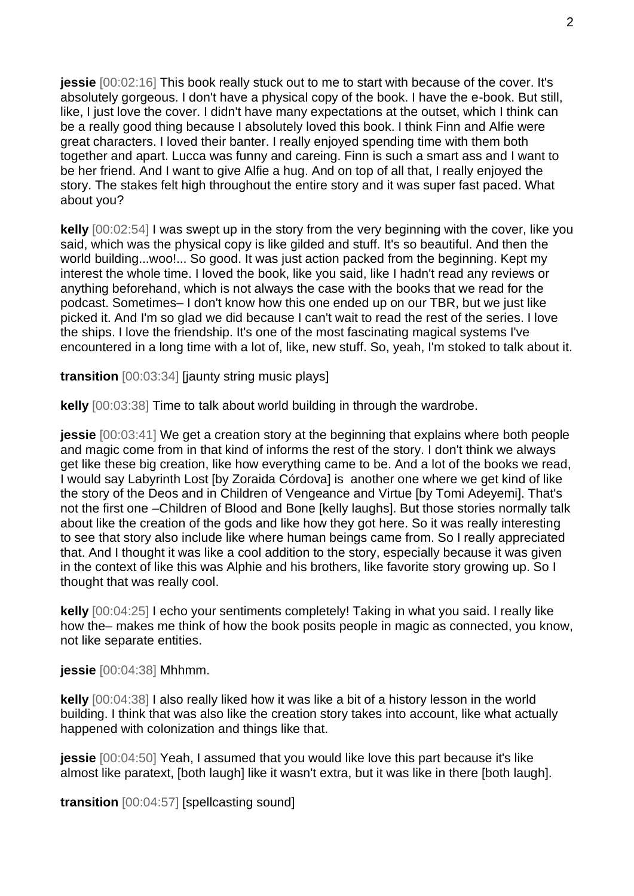**jessie**  $[00:02:16]$  This book really stuck out to me to start with because of the cover. It's absolutely gorgeous. I don't have a physical copy of the book. I have the e-book. But still, like, I just love the cover. I didn't have many expectations at the outset, which I think can be a really good thing because I absolutely loved this book. I think Finn and Alfie were great characters. I loved their banter. I really enjoyed spending time with them both together and apart. Lucca was funny and careing. Finn is such a smart ass and I want to be her friend. And I want to give Alfie a hug. And on top of all that, I really enjoyed the story. The stakes felt high throughout the entire story and it was super fast paced. What about you?

**kelly** [00:02:54] I was swept up in the story from the very beginning with the cover, like you said, which was the physical copy is like gilded and stuff. It's so beautiful. And then the world building...woo!... So good. It was just action packed from the beginning. Kept my interest the whole time. I loved the book, like you said, like I hadn't read any reviews or anything beforehand, which is not always the case with the books that we read for the podcast. Sometimes– I don't know how this one ended up on our TBR, but we just like picked it. And I'm so glad we did because I can't wait to read the rest of the series. I love the ships. I love the friendship. It's one of the most fascinating magical systems I've encountered in a long time with a lot of, like, new stuff. So, yeah, I'm stoked to talk about it.

**transition** [00:03:34] [jaunty string music plays]

**kelly** [00:03:38] Time to talk about world building in through the wardrobe.

**jessie** [00:03:41] We get a creation story at the beginning that explains where both people and magic come from in that kind of informs the rest of the story. I don't think we always get like these big creation, like how everything came to be. And a lot of the books we read, I would say Labyrinth Lost [by Zoraida Córdova] is another one where we get kind of like the story of the Deos and in Children of Vengeance and Virtue [by Tomi Adeyemi]. That's not the first one –Children of Blood and Bone [kelly laughs]. But those stories normally talk about like the creation of the gods and like how they got here. So it was really interesting to see that story also include like where human beings came from. So I really appreciated that. And I thought it was like a cool addition to the story, especially because it was given in the context of like this was Alphie and his brothers, like favorite story growing up. So I thought that was really cool.

**kelly** [00:04:25] I echo your sentiments completely! Taking in what you said. I really like how the– makes me think of how the book posits people in magic as connected, you know, not like separate entities.

**jessie** [00:04:38] Mhhmm.

**kelly** [00:04:38] I also really liked how it was like a bit of a history lesson in the world building. I think that was also like the creation story takes into account, like what actually happened with colonization and things like that.

**jessie** [00:04:50] Yeah, I assumed that you would like love this part because it's like almost like paratext, [both laugh] like it wasn't extra, but it was like in there [both laugh].

**transition** [00:04:57] [spellcasting sound]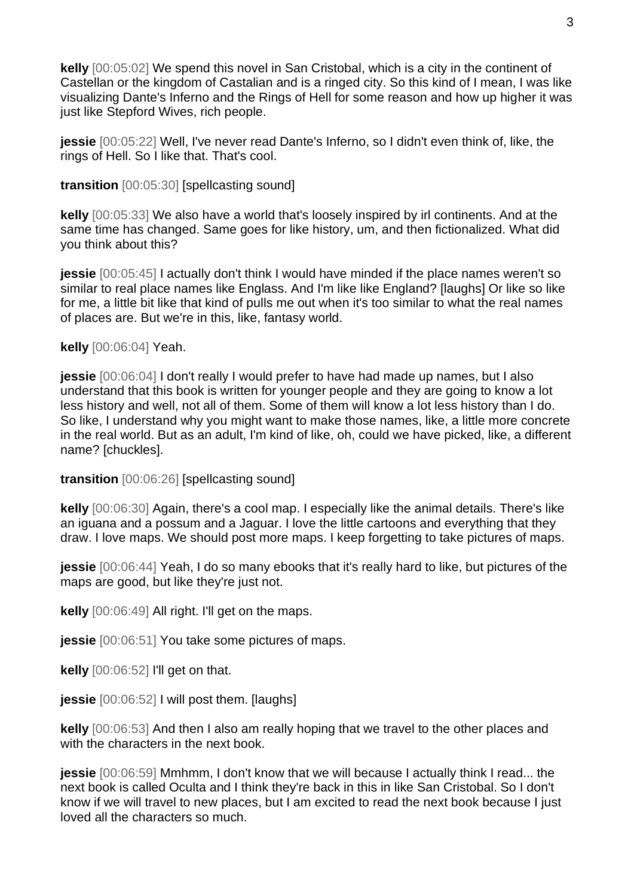**kelly** [00:05:02] We spend this novel in San Cristobal, which is a city in the continent of Castellan or the kingdom of Castalian and is a ringed city. So this kind of I mean, I was like visualizing Dante's Inferno and the Rings of Hell for some reason and how up higher it was just like Stepford Wives, rich people.

**jessie** [00:05:22] Well, I've never read Dante's Inferno, so I didn't even think of, like, the rings of Hell. So I like that. That's cool.

**transition** [00:05:30] [spellcasting sound]

**kelly** [00:05:33] We also have a world that's loosely inspired by irl continents. And at the same time has changed. Same goes for like history, um, and then fictionalized. What did you think about this?

**jessie** [00:05:45] I actually don't think I would have minded if the place names weren't so similar to real place names like Englass. And I'm like like England? [laughs] Or like so like for me, a little bit like that kind of pulls me out when it's too similar to what the real names of places are. But we're in this, like, fantasy world.

**kelly** [00:06:04] Yeah.

**jessie** [00:06:04] I don't really I would prefer to have had made up names, but I also understand that this book is written for younger people and they are going to know a lot less history and well, not all of them. Some of them will know a lot less history than I do. So like, I understand why you might want to make those names, like, a little more concrete in the real world. But as an adult, I'm kind of like, oh, could we have picked, like, a different name? [chuckles].

**transition** [00:06:26] [spellcasting sound]

**kelly** [00:06:30] Again, there's a cool map. I especially like the animal details. There's like an iguana and a possum and a Jaguar. I love the little cartoons and everything that they draw. I love maps. We should post more maps. I keep forgetting to take pictures of maps.

**jessie** [00:06:44] Yeah, I do so many ebooks that it's really hard to like, but pictures of the maps are good, but like they're just not.

**kelly** [00:06:49] All right. I'll get on the maps.

**jessie** [00:06:51] You take some pictures of maps.

**kelly** [00:06:52] I'll get on that.

**jessie** [00:06:52] I will post them. [laughs]

**kelly** [00:06:53] And then I also am really hoping that we travel to the other places and with the characters in the next book.

**jessie** [00:06:59] Mmhmm, I don't know that we will because I actually think I read... the next book is called Oculta and I think they're back in this in like San Cristobal. So I don't know if we will travel to new places, but I am excited to read the next book because I just loved all the characters so much.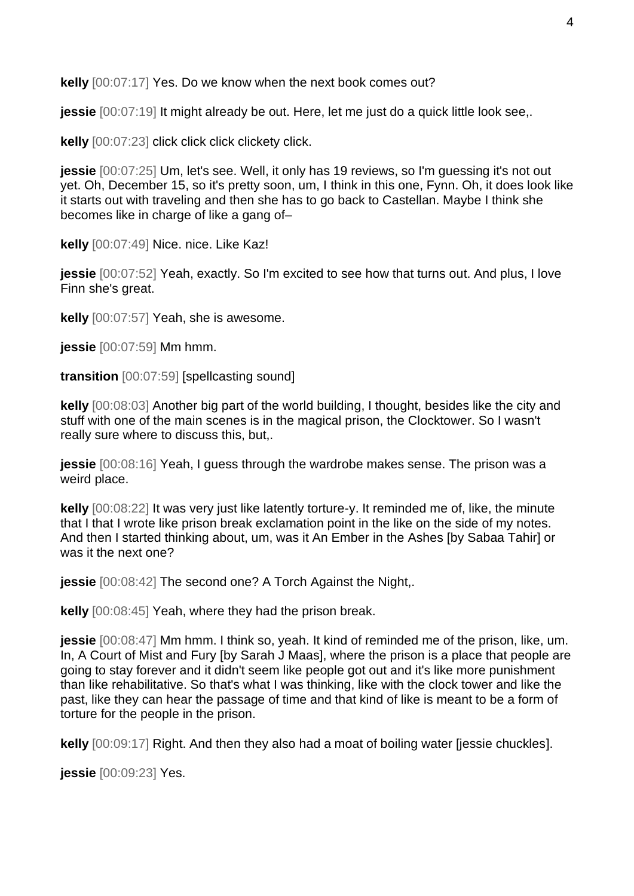**kelly** [00:07:17] Yes. Do we know when the next book comes out?

**jessie** [00:07:19] It might already be out. Here, let me just do a quick little look see,.

**kelly** [00:07:23] click click click clickety click.

**jessie** [00:07:25] Um, let's see. Well, it only has 19 reviews, so I'm quessing it's not out yet. Oh, December 15, so it's pretty soon, um, I think in this one, Fynn. Oh, it does look like it starts out with traveling and then she has to go back to Castellan. Maybe I think she becomes like in charge of like a gang of–

**kelly** [00:07:49] Nice. nice. Like Kaz!

**jessie** [00:07:52] Yeah, exactly. So I'm excited to see how that turns out. And plus, I love Finn she's great.

**kelly** [00:07:57] Yeah, she is awesome.

**jessie** [00:07:59] Mm hmm.

**transition** [00:07:59] [spellcasting sound]

**kelly** [00:08:03] Another big part of the world building, I thought, besides like the city and stuff with one of the main scenes is in the magical prison, the Clocktower. So I wasn't really sure where to discuss this, but,.

**jessie** [00:08:16] Yeah, I guess through the wardrobe makes sense. The prison was a weird place.

**kelly** [00:08:22] It was very just like latently torture-y. It reminded me of, like, the minute that I that I wrote like prison break exclamation point in the like on the side of my notes. And then I started thinking about, um, was it An Ember in the Ashes [by Sabaa Tahir] or was it the next one?

**jessie** [00:08:42] The second one? A Torch Against the Night,.

**kelly** [00:08:45] Yeah, where they had the prison break.

**jessie** [00:08:47] Mm hmm. I think so, yeah. It kind of reminded me of the prison, like, um. In, A Court of Mist and Fury [by Sarah J Maas], where the prison is a place that people are going to stay forever and it didn't seem like people got out and it's like more punishment than like rehabilitative. So that's what I was thinking, like with the clock tower and like the past, like they can hear the passage of time and that kind of like is meant to be a form of torture for the people in the prison.

**kelly** [00:09:17] Right. And then they also had a moat of boiling water [jessie chuckles].

**jessie** [00:09:23] Yes.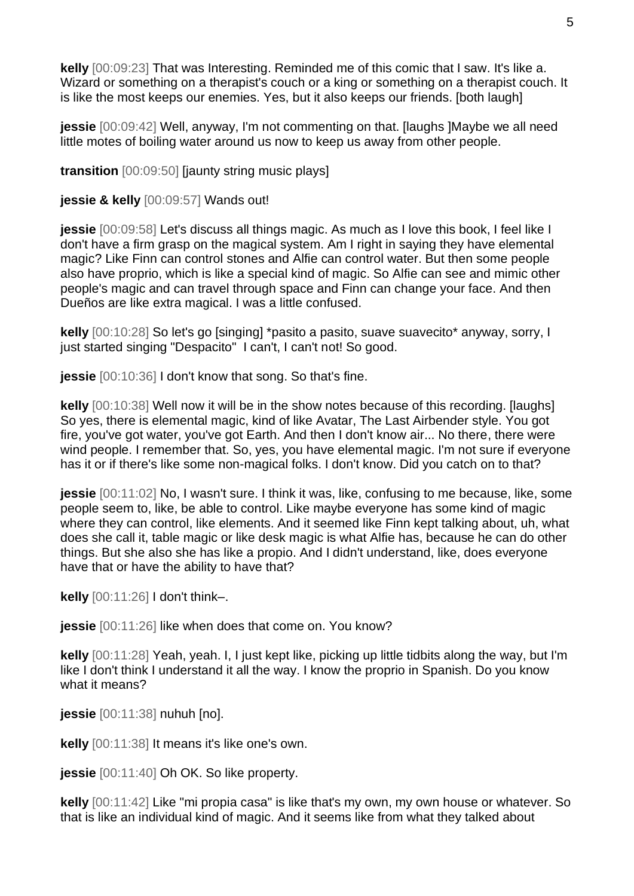**kelly** [00:09:23] That was Interesting. Reminded me of this comic that I saw. It's like a. Wizard or something on a therapist's couch or a king or something on a therapist couch. It is like the most keeps our enemies. Yes, but it also keeps our friends. [both laugh]

**jessie** [00:09:42] Well, anyway, I'm not commenting on that. [laughs ]Maybe we all need little motes of boiling water around us now to keep us away from other people.

**transition** [00:09:50] [jaunty string music plays]

**jessie & kelly** [00:09:57] Wands out!

**jessie** [00:09:58] Let's discuss all things magic. As much as I love this book, I feel like I don't have a firm grasp on the magical system. Am I right in saying they have elemental magic? Like Finn can control stones and Alfie can control water. But then some people also have proprio, which is like a special kind of magic. So Alfie can see and mimic other people's magic and can travel through space and Finn can change your face. And then Dueños are like extra magical. I was a little confused.

**kelly** [00:10:28] So let's go [singing] \*pasito a pasito, suave suavecito\* anyway, sorry, I just started singing "Despacito" I can't, I can't not! So good.

**jessie** [00:10:36] I don't know that song. So that's fine.

**kelly** [00:10:38] Well now it will be in the show notes because of this recording. [laughs] So yes, there is elemental magic, kind of like Avatar, The Last Airbender style. You got fire, you've got water, you've got Earth. And then I don't know air... No there, there were wind people. I remember that. So, yes, you have elemental magic. I'm not sure if everyone has it or if there's like some non-magical folks. I don't know. Did you catch on to that?

**jessie** [00:11:02] No, I wasn't sure. I think it was, like, confusing to me because, like, some people seem to, like, be able to control. Like maybe everyone has some kind of magic where they can control, like elements. And it seemed like Finn kept talking about, uh, what does she call it, table magic or like desk magic is what Alfie has, because he can do other things. But she also she has like a propio. And I didn't understand, like, does everyone have that or have the ability to have that?

**kelly** [00:11:26] I don't think–.

**jessie** [00:11:26] like when does that come on. You know?

**kelly** [00:11:28] Yeah, yeah. I, I just kept like, picking up little tidbits along the way, but I'm like I don't think I understand it all the way. I know the proprio in Spanish. Do you know what it means?

**jessie** [00:11:38] nuhuh [no].

**kelly** [00:11:38] It means it's like one's own.

**jessie** [00:11:40] Oh OK. So like property.

**kelly** [00:11:42] Like "mi propia casa" is like that's my own, my own house or whatever. So that is like an individual kind of magic. And it seems like from what they talked about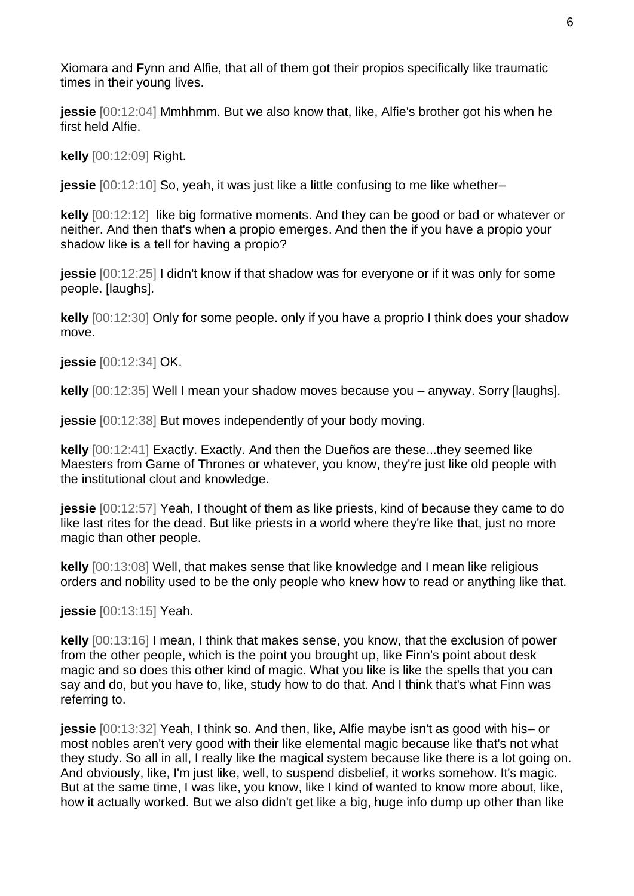Xiomara and Fynn and Alfie, that all of them got their propios specifically like traumatic times in their young lives.

**jessie** [00:12:04] Mmhhmm. But we also know that, like, Alfie's brother got his when he first held Alfie.

**kelly** [00:12:09] Right.

**jessie** [00:12:10] So, yeah, it was just like a little confusing to me like whether–

**kelly** [00:12:12] like big formative moments. And they can be good or bad or whatever or neither. And then that's when a propio emerges. And then the if you have a propio your shadow like is a tell for having a propio?

**jessie** [00:12:25] I didn't know if that shadow was for everyone or if it was only for some people. [laughs].

**kelly** [00:12:30] Only for some people. only if you have a proprio I think does your shadow move.

**jessie** [00:12:34] OK.

**kelly** [00:12:35] Well I mean your shadow moves because you – anyway. Sorry [laughs].

**jessie** [00:12:38] But moves independently of your body moving.

**kelly** [00:12:41] Exactly. Exactly. And then the Dueños are these...they seemed like Maesters from Game of Thrones or whatever, you know, they're just like old people with the institutional clout and knowledge.

**jessie** [00:12:57] Yeah, I thought of them as like priests, kind of because they came to do like last rites for the dead. But like priests in a world where they're like that, just no more magic than other people.

**kelly** [00:13:08] Well, that makes sense that like knowledge and I mean like religious orders and nobility used to be the only people who knew how to read or anything like that.

**jessie** [00:13:15] Yeah.

**kelly** [00:13:16] I mean, I think that makes sense, you know, that the exclusion of power from the other people, which is the point you brought up, like Finn's point about desk magic and so does this other kind of magic. What you like is like the spells that you can say and do, but you have to, like, study how to do that. And I think that's what Finn was referring to.

**jessie** [00:13:32] Yeah, I think so. And then, like, Alfie maybe isn't as good with his– or most nobles aren't very good with their like elemental magic because like that's not what they study. So all in all, I really like the magical system because like there is a lot going on. And obviously, like, I'm just like, well, to suspend disbelief, it works somehow. It's magic. But at the same time, I was like, you know, like I kind of wanted to know more about, like, how it actually worked. But we also didn't get like a big, huge info dump up other than like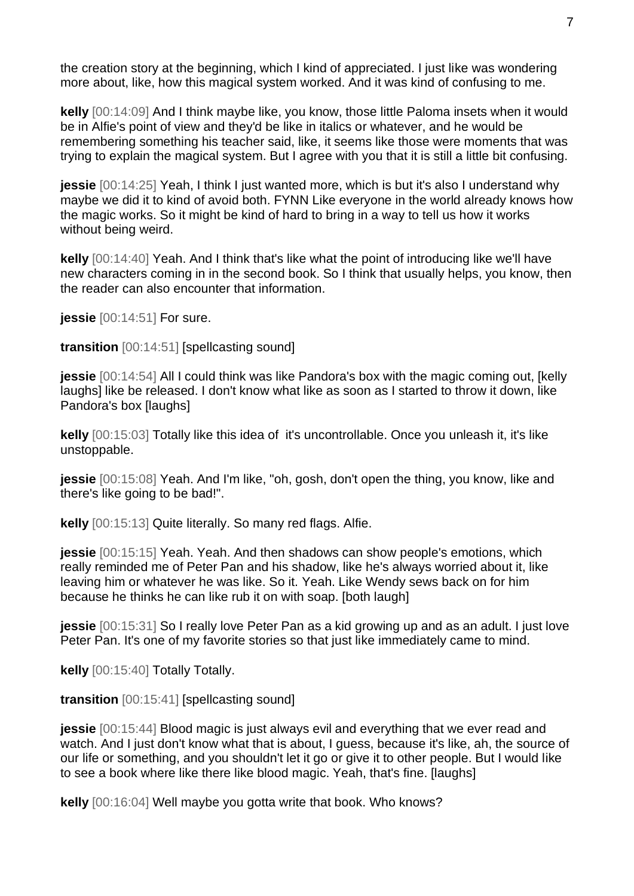the creation story at the beginning, which I kind of appreciated. I just like was wondering more about, like, how this magical system worked. And it was kind of confusing to me.

**kelly** [00:14:09] And I think maybe like, you know, those little Paloma insets when it would be in Alfie's point of view and they'd be like in italics or whatever, and he would be remembering something his teacher said, like, it seems like those were moments that was trying to explain the magical system. But I agree with you that it is still a little bit confusing.

**jessie** [00:14:25] Yeah, I think I just wanted more, which is but it's also I understand why maybe we did it to kind of avoid both. FYNN Like everyone in the world already knows how the magic works. So it might be kind of hard to bring in a way to tell us how it works without being weird.

**kelly** [00:14:40] Yeah. And I think that's like what the point of introducing like we'll have new characters coming in in the second book. So I think that usually helps, you know, then the reader can also encounter that information.

**jessie** [00:14:51] For sure.

**transition** [00:14:51] [spellcasting sound]

**jessie** [00:14:54] All I could think was like Pandora's box with the magic coming out, [kelly laughs] like be released. I don't know what like as soon as I started to throw it down, like Pandora's box [laughs]

**kelly** [00:15:03] Totally like this idea of it's uncontrollable. Once you unleash it, it's like unstoppable.

**jessie** [00:15:08] Yeah. And I'm like, "oh, gosh, don't open the thing, you know, like and there's like going to be bad!".

**kelly** [00:15:13] Quite literally. So many red flags. Alfie.

**jessie** [00:15:15] Yeah. Yeah. And then shadows can show people's emotions, which really reminded me of Peter Pan and his shadow, like he's always worried about it, like leaving him or whatever he was like. So it. Yeah. Like Wendy sews back on for him because he thinks he can like rub it on with soap. [both laugh]

**jessie** [00:15:31] So I really love Peter Pan as a kid growing up and as an adult. I just love Peter Pan. It's one of my favorite stories so that just like immediately came to mind.

**kelly** [00:15:40] Totally Totally.

**transition** [00:15:41] [spellcasting sound]

**jessie** [00:15:44] Blood magic is just always evil and everything that we ever read and watch. And I just don't know what that is about, I guess, because it's like, ah, the source of our life or something, and you shouldn't let it go or give it to other people. But I would like to see a book where like there like blood magic. Yeah, that's fine. [laughs]

**kelly** [00:16:04] Well maybe you gotta write that book. Who knows?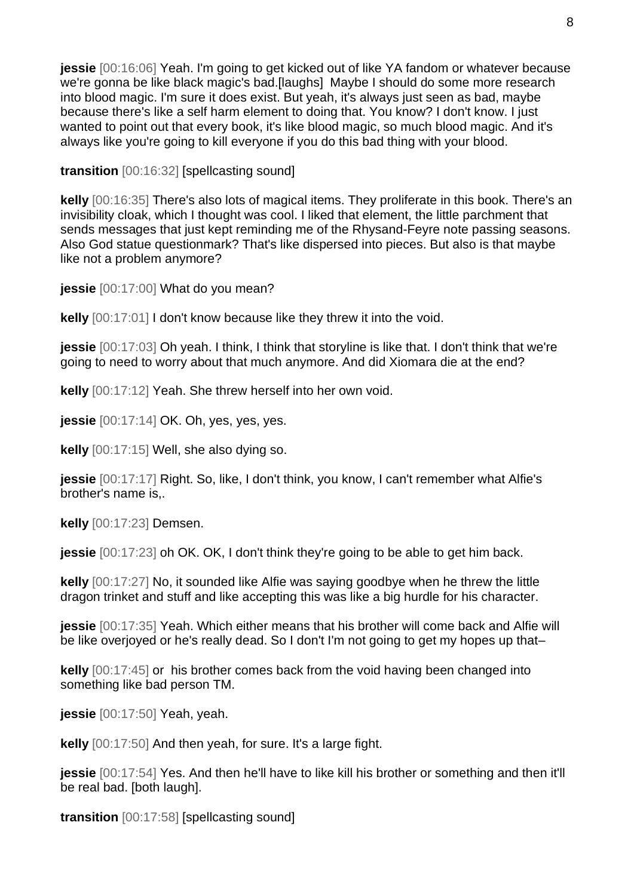**jessie** [00:16:06] Yeah. I'm going to get kicked out of like YA fandom or whatever because we're gonna be like black magic's bad.[laughs] Maybe I should do some more research into blood magic. I'm sure it does exist. But yeah, it's always just seen as bad, maybe because there's like a self harm element to doing that. You know? I don't know. I just wanted to point out that every book, it's like blood magic, so much blood magic. And it's always like you're going to kill everyone if you do this bad thing with your blood.

**transition** [00:16:32] [spellcasting sound]

**kelly** [00:16:35] There's also lots of magical items. They proliferate in this book. There's an invisibility cloak, which I thought was cool. I liked that element, the little parchment that sends messages that just kept reminding me of the Rhysand-Feyre note passing seasons. Also God statue questionmark? That's like dispersed into pieces. But also is that maybe like not a problem anymore?

**jessie** [00:17:00] What do you mean?

**kelly** [00:17:01] I don't know because like they threw it into the void.

**jessie** [00:17:03] Oh yeah. I think, I think that storyline is like that. I don't think that we're going to need to worry about that much anymore. And did Xiomara die at the end?

**kelly** [00:17:12] Yeah. She threw herself into her own void.

**jessie** [00:17:14] OK. Oh, yes, yes, yes.

**kelly** [00:17:15] Well, she also dying so.

**jessie** [00:17:17] Right. So, like, I don't think, you know, I can't remember what Alfie's brother's name is,.

**kelly** [00:17:23] Demsen.

**jessie** [00:17:23] oh OK. OK, I don't think they're going to be able to get him back.

**kelly** [00:17:27] No, it sounded like Alfie was saying goodbye when he threw the little dragon trinket and stuff and like accepting this was like a big hurdle for his character.

**jessie** [00:17:35] Yeah. Which either means that his brother will come back and Alfie will be like overjoyed or he's really dead. So I don't I'm not going to get my hopes up that–

**kelly** [00:17:45] or his brother comes back from the void having been changed into something like bad person TM.

**jessie** [00:17:50] Yeah, yeah.

**kelly** [00:17:50] And then yeah, for sure. It's a large fight.

**jessie** [00:17:54] Yes. And then he'll have to like kill his brother or something and then it'll be real bad. [both laugh].

**transition** [00:17:58] [spellcasting sound]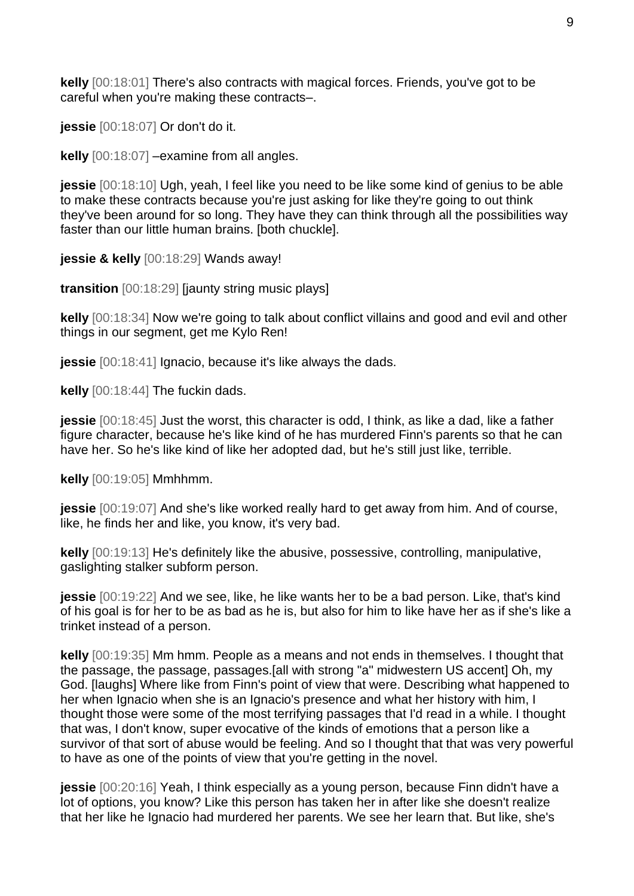**kelly** [00:18:01] There's also contracts with magical forces. Friends, you've got to be careful when you're making these contracts–.

**jessie** [00:18:07] Or don't do it.

**kelly** [00:18:07] –examine from all angles.

**jessie** [00:18:10] Ugh, yeah, I feel like you need to be like some kind of genius to be able to make these contracts because you're just asking for like they're going to out think they've been around for so long. They have they can think through all the possibilities way faster than our little human brains. [both chuckle].

**jessie & kelly** [00:18:29] Wands away!

**transition** [00:18:29] [jaunty string music plays]

**kelly** [00:18:34] Now we're going to talk about conflict villains and good and evil and other things in our segment, get me Kylo Ren!

**jessie** [00:18:41] Ignacio, because it's like always the dads.

**kelly** [00:18:44] The fuckin dads.

**jessie** [00:18:45] Just the worst, this character is odd, I think, as like a dad, like a father figure character, because he's like kind of he has murdered Finn's parents so that he can have her. So he's like kind of like her adopted dad, but he's still just like, terrible.

**kelly** [00:19:05] Mmhhmm.

**jessie** [00:19:07] And she's like worked really hard to get away from him. And of course, like, he finds her and like, you know, it's very bad.

**kelly** [00:19:13] He's definitely like the abusive, possessive, controlling, manipulative, gaslighting stalker subform person.

**jessie** [00:19:22] And we see, like, he like wants her to be a bad person. Like, that's kind of his goal is for her to be as bad as he is, but also for him to like have her as if she's like a trinket instead of a person.

**kelly** [00:19:35] Mm hmm. People as a means and not ends in themselves. I thought that the passage, the passage, passages.[all with strong "a" midwestern US accent] Oh, my God. [laughs] Where like from Finn's point of view that were. Describing what happened to her when Ignacio when she is an Ignacio's presence and what her history with him, I thought those were some of the most terrifying passages that I'd read in a while. I thought that was, I don't know, super evocative of the kinds of emotions that a person like a survivor of that sort of abuse would be feeling. And so I thought that that was very powerful to have as one of the points of view that you're getting in the novel.

**jessie** [00:20:16] Yeah, I think especially as a young person, because Finn didn't have a lot of options, you know? Like this person has taken her in after like she doesn't realize that her like he Ignacio had murdered her parents. We see her learn that. But like, she's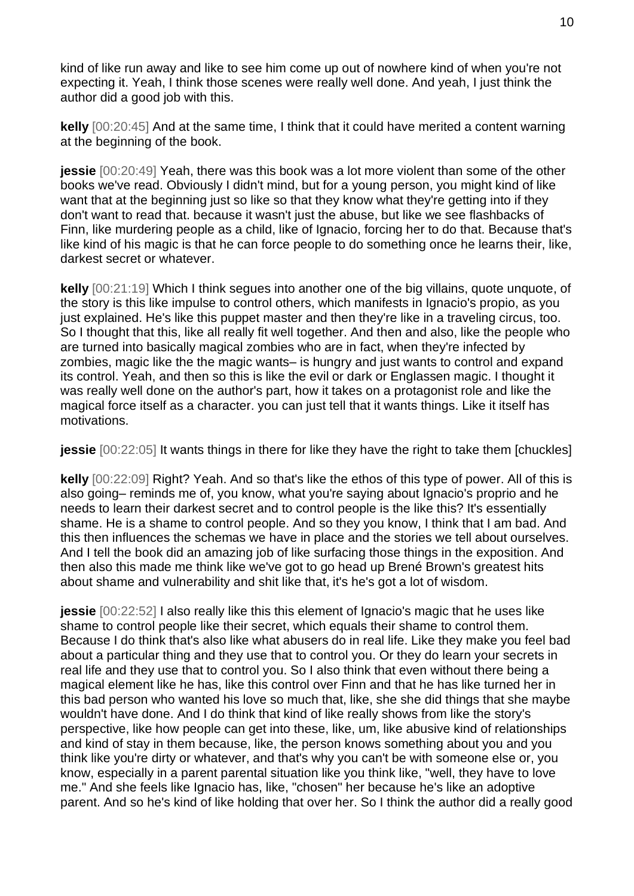kind of like run away and like to see him come up out of nowhere kind of when you're not expecting it. Yeah, I think those scenes were really well done. And yeah, I just think the author did a good job with this.

**kelly** [00:20:45] And at the same time, I think that it could have merited a content warning at the beginning of the book.

**jessie** [00:20:49] Yeah, there was this book was a lot more violent than some of the other books we've read. Obviously I didn't mind, but for a young person, you might kind of like want that at the beginning just so like so that they know what they're getting into if they don't want to read that. because it wasn't just the abuse, but like we see flashbacks of Finn, like murdering people as a child, like of Ignacio, forcing her to do that. Because that's like kind of his magic is that he can force people to do something once he learns their, like, darkest secret or whatever.

**kelly** [00:21:19] Which I think segues into another one of the big villains, quote unquote, of the story is this like impulse to control others, which manifests in Ignacio's propio, as you just explained. He's like this puppet master and then they're like in a traveling circus, too. So I thought that this, like all really fit well together. And then and also, like the people who are turned into basically magical zombies who are in fact, when they're infected by zombies, magic like the the magic wants– is hungry and just wants to control and expand its control. Yeah, and then so this is like the evil or dark or Englassen magic. I thought it was really well done on the author's part, how it takes on a protagonist role and like the magical force itself as a character. you can just tell that it wants things. Like it itself has motivations.

**jessie** [00:22:05] It wants things in there for like they have the right to take them [chuckles]

**kelly** [00:22:09] Right? Yeah. And so that's like the ethos of this type of power. All of this is also going– reminds me of, you know, what you're saying about Ignacio's proprio and he needs to learn their darkest secret and to control people is the like this? It's essentially shame. He is a shame to control people. And so they you know, I think that I am bad. And this then influences the schemas we have in place and the stories we tell about ourselves. And I tell the book did an amazing job of like surfacing those things in the exposition. And then also this made me think like we've got to go head up Brené Brown's greatest hits about shame and vulnerability and shit like that, it's he's got a lot of wisdom.

**jessie**  $[00:22:52]$  I also really like this this element of Ignacio's magic that he uses like shame to control people like their secret, which equals their shame to control them. Because I do think that's also like what abusers do in real life. Like they make you feel bad about a particular thing and they use that to control you. Or they do learn your secrets in real life and they use that to control you. So I also think that even without there being a magical element like he has, like this control over Finn and that he has like turned her in this bad person who wanted his love so much that, like, she she did things that she maybe wouldn't have done. And I do think that kind of like really shows from like the story's perspective, like how people can get into these, like, um, like abusive kind of relationships and kind of stay in them because, like, the person knows something about you and you think like you're dirty or whatever, and that's why you can't be with someone else or, you know, especially in a parent parental situation like you think like, "well, they have to love me." And she feels like Ignacio has, like, "chosen" her because he's like an adoptive parent. And so he's kind of like holding that over her. So I think the author did a really good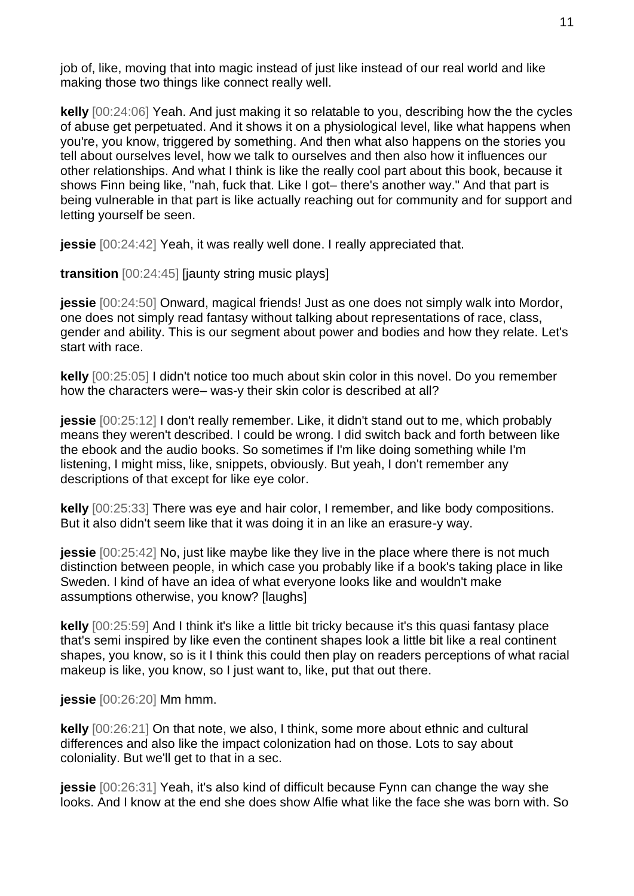job of, like, moving that into magic instead of just like instead of our real world and like making those two things like connect really well.

**kelly** [00:24:06] Yeah. And just making it so relatable to you, describing how the the cycles of abuse get perpetuated. And it shows it on a physiological level, like what happens when you're, you know, triggered by something. And then what also happens on the stories you tell about ourselves level, how we talk to ourselves and then also how it influences our other relationships. And what I think is like the really cool part about this book, because it shows Finn being like, "nah, fuck that. Like I got– there's another way." And that part is being vulnerable in that part is like actually reaching out for community and for support and letting yourself be seen.

**jessie** [00:24:42] Yeah, it was really well done. I really appreciated that.

**transition** [00:24:45] [jaunty string music plays]

**jessie** [00:24:50] Onward, magical friends! Just as one does not simply walk into Mordor, one does not simply read fantasy without talking about representations of race, class, gender and ability. This is our segment about power and bodies and how they relate. Let's start with race.

**kelly** [00:25:05] I didn't notice too much about skin color in this novel. Do you remember how the characters were– was-y their skin color is described at all?

**jessie** [00:25:12] I don't really remember. Like, it didn't stand out to me, which probably means they weren't described. I could be wrong. I did switch back and forth between like the ebook and the audio books. So sometimes if I'm like doing something while I'm listening, I might miss, like, snippets, obviously. But yeah, I don't remember any descriptions of that except for like eye color.

**kelly** [00:25:33] There was eye and hair color, I remember, and like body compositions. But it also didn't seem like that it was doing it in an like an erasure-y way.

**jessie**  $[00:25:42]$  No, just like maybe like they live in the place where there is not much distinction between people, in which case you probably like if a book's taking place in like Sweden. I kind of have an idea of what everyone looks like and wouldn't make assumptions otherwise, you know? [laughs]

**kelly** [00:25:59] And I think it's like a little bit tricky because it's this quasi fantasy place that's semi inspired by like even the continent shapes look a little bit like a real continent shapes, you know, so is it I think this could then play on readers perceptions of what racial makeup is like, you know, so I just want to, like, put that out there.

**jessie** [00:26:20] Mm hmm.

**kelly** [00:26:21] On that note, we also, I think, some more about ethnic and cultural differences and also like the impact colonization had on those. Lots to say about coloniality. But we'll get to that in a sec.

**jessie** [00:26:31] Yeah, it's also kind of difficult because Fynn can change the way she looks. And I know at the end she does show Alfie what like the face she was born with. So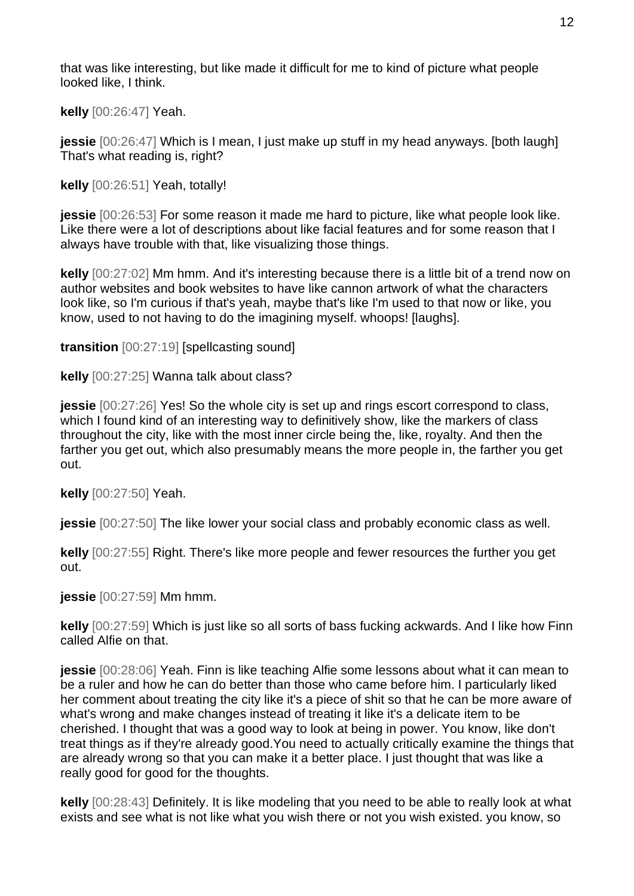that was like interesting, but like made it difficult for me to kind of picture what people looked like, I think.

**kelly** [00:26:47] Yeah.

**jessie** [00:26:47] Which is I mean, I just make up stuff in my head anyways. [both laugh] That's what reading is, right?

**kelly** [00:26:51] Yeah, totally!

**jessie** [00:26:53] For some reason it made me hard to picture, like what people look like. Like there were a lot of descriptions about like facial features and for some reason that I always have trouble with that, like visualizing those things.

**kelly** [00:27:02] Mm hmm. And it's interesting because there is a little bit of a trend now on author websites and book websites to have like cannon artwork of what the characters look like, so I'm curious if that's yeah, maybe that's like I'm used to that now or like, you know, used to not having to do the imagining myself. whoops! [laughs].

**transition** [00:27:19] [spellcasting sound]

**kelly** [00:27:25] Wanna talk about class?

**jessie** [00:27:26] Yes! So the whole city is set up and rings escort correspond to class, which I found kind of an interesting way to definitively show, like the markers of class throughout the city, like with the most inner circle being the, like, royalty. And then the farther you get out, which also presumably means the more people in, the farther you get out.

**kelly** [00:27:50] Yeah.

**jessie** [00:27:50] The like lower your social class and probably economic class as well.

**kelly** [00:27:55] Right. There's like more people and fewer resources the further you get out.

**jessie** [00:27:59] Mm hmm.

**kelly** [00:27:59] Which is just like so all sorts of bass fucking ackwards. And I like how Finn called Alfie on that.

**jessie** [00:28:06] Yeah. Finn is like teaching Alfie some lessons about what it can mean to be a ruler and how he can do better than those who came before him. I particularly liked her comment about treating the city like it's a piece of shit so that he can be more aware of what's wrong and make changes instead of treating it like it's a delicate item to be cherished. I thought that was a good way to look at being in power. You know, like don't treat things as if they're already good.You need to actually critically examine the things that are already wrong so that you can make it a better place. I just thought that was like a really good for good for the thoughts.

**kelly** [00:28:43] Definitely. It is like modeling that you need to be able to really look at what exists and see what is not like what you wish there or not you wish existed. you know, so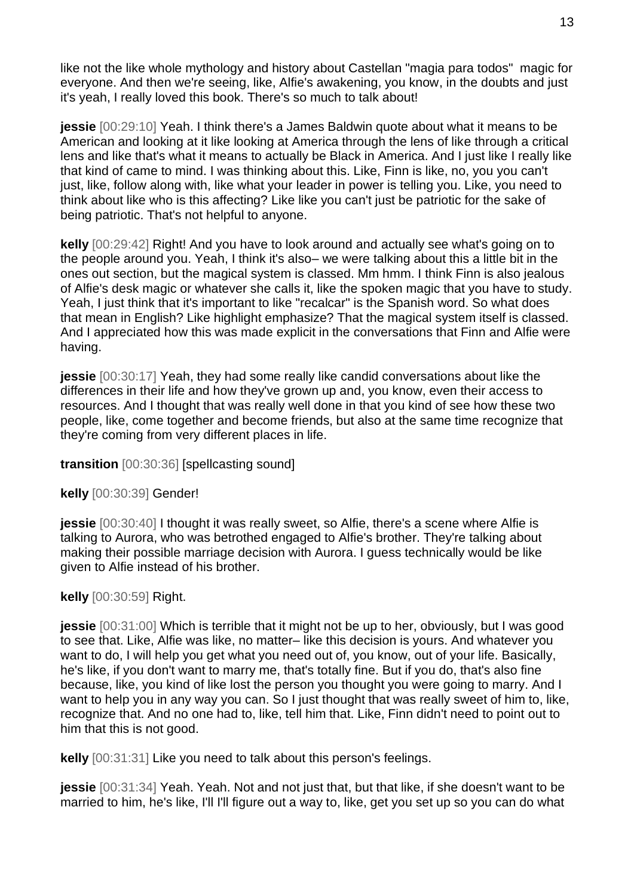like not the like whole mythology and history about Castellan "magia para todos" magic for everyone. And then we're seeing, like, Alfie's awakening, you know, in the doubts and just it's yeah, I really loved this book. There's so much to talk about!

**jessie** [00:29:10] Yeah. I think there's a James Baldwin quote about what it means to be American and looking at it like looking at America through the lens of like through a critical lens and like that's what it means to actually be Black in America. And I just like I really like that kind of came to mind. I was thinking about this. Like, Finn is like, no, you you can't just, like, follow along with, like what your leader in power is telling you. Like, you need to think about like who is this affecting? Like like you can't just be patriotic for the sake of being patriotic. That's not helpful to anyone.

**kelly** [00:29:42] Right! And you have to look around and actually see what's going on to the people around you. Yeah, I think it's also– we were talking about this a little bit in the ones out section, but the magical system is classed. Mm hmm. I think Finn is also jealous of Alfie's desk magic or whatever she calls it, like the spoken magic that you have to study. Yeah, I just think that it's important to like "recalcar" is the Spanish word. So what does that mean in English? Like highlight emphasize? That the magical system itself is classed. And I appreciated how this was made explicit in the conversations that Finn and Alfie were having.

**jessie** [00:30:17] Yeah, they had some really like candid conversations about like the differences in their life and how they've grown up and, you know, even their access to resources. And I thought that was really well done in that you kind of see how these two people, like, come together and become friends, but also at the same time recognize that they're coming from very different places in life.

**transition** [00:30:36] [spellcasting sound]

**kelly** [00:30:39] Gender!

**jessie** [00:30:40] I thought it was really sweet, so Alfie, there's a scene where Alfie is talking to Aurora, who was betrothed engaged to Alfie's brother. They're talking about making their possible marriage decision with Aurora. I guess technically would be like given to Alfie instead of his brother.

## **kelly** [00:30:59] Right.

**jessie** [00:31:00] Which is terrible that it might not be up to her, obviously, but I was good to see that. Like, Alfie was like, no matter– like this decision is yours. And whatever you want to do, I will help you get what you need out of, you know, out of your life. Basically, he's like, if you don't want to marry me, that's totally fine. But if you do, that's also fine because, like, you kind of like lost the person you thought you were going to marry. And I want to help you in any way you can. So I just thought that was really sweet of him to, like, recognize that. And no one had to, like, tell him that. Like, Finn didn't need to point out to him that this is not good.

**kelly** [00:31:31] Like you need to talk about this person's feelings.

**jessie** [00:31:34] Yeah. Yeah. Not and not just that, but that like, if she doesn't want to be married to him, he's like, I'll I'll figure out a way to, like, get you set up so you can do what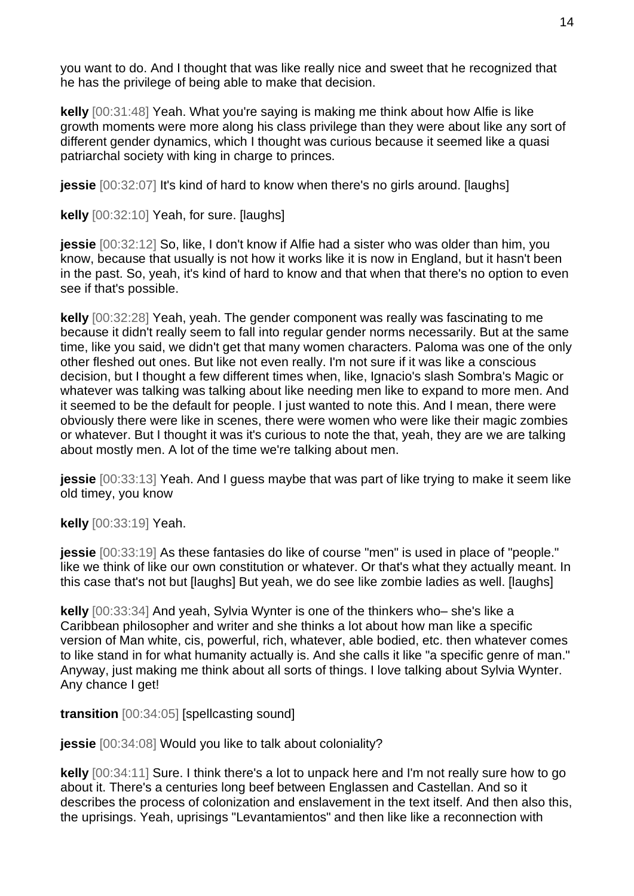you want to do. And I thought that was like really nice and sweet that he recognized that he has the privilege of being able to make that decision.

**kelly** [00:31:48] Yeah. What you're saying is making me think about how Alfie is like growth moments were more along his class privilege than they were about like any sort of different gender dynamics, which I thought was curious because it seemed like a quasi patriarchal society with king in charge to princes.

**jessie** [00:32:07] It's kind of hard to know when there's no girls around. [laughs]

**kelly** [00:32:10] Yeah, for sure. [laughs]

**jessie** [00:32:12] So, like, I don't know if Alfie had a sister who was older than him, you know, because that usually is not how it works like it is now in England, but it hasn't been in the past. So, yeah, it's kind of hard to know and that when that there's no option to even see if that's possible.

**kelly** [00:32:28] Yeah, yeah. The gender component was really was fascinating to me because it didn't really seem to fall into regular gender norms necessarily. But at the same time, like you said, we didn't get that many women characters. Paloma was one of the only other fleshed out ones. But like not even really. I'm not sure if it was like a conscious decision, but I thought a few different times when, like, Ignacio's slash Sombra's Magic or whatever was talking was talking about like needing men like to expand to more men. And it seemed to be the default for people. I just wanted to note this. And I mean, there were obviously there were like in scenes, there were women who were like their magic zombies or whatever. But I thought it was it's curious to note the that, yeah, they are we are talking about mostly men. A lot of the time we're talking about men.

**jessie** [00:33:13] Yeah. And I guess maybe that was part of like trying to make it seem like old timey, you know

**kelly** [00:33:19] Yeah.

**jessie** [00:33:19] As these fantasies do like of course "men" is used in place of "people." like we think of like our own constitution or whatever. Or that's what they actually meant. In this case that's not but [laughs] But yeah, we do see like zombie ladies as well. [laughs]

**kelly** [00:33:34] And yeah, Sylvia Wynter is one of the thinkers who– she's like a Caribbean philosopher and writer and she thinks a lot about how man like a specific version of Man white, cis, powerful, rich, whatever, able bodied, etc. then whatever comes to like stand in for what humanity actually is. And she calls it like "a specific genre of man." Anyway, just making me think about all sorts of things. I love talking about Sylvia Wynter. Any chance I get!

**transition** [00:34:05] [spellcasting sound]

**jessie** [00:34:08] Would you like to talk about coloniality?

**kelly** [00:34:11] Sure. I think there's a lot to unpack here and I'm not really sure how to go about it. There's a centuries long beef between Englassen and Castellan. And so it describes the process of colonization and enslavement in the text itself. And then also this, the uprisings. Yeah, uprisings "Levantamientos" and then like like a reconnection with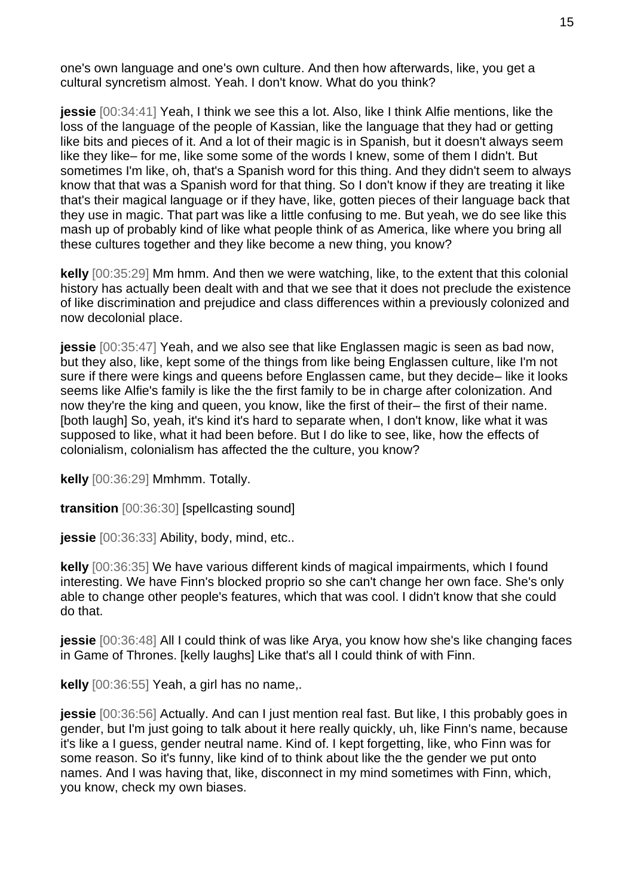one's own language and one's own culture. And then how afterwards, like, you get a cultural syncretism almost. Yeah. I don't know. What do you think?

**jessie** [00:34:41] Yeah, I think we see this a lot. Also, like I think Alfie mentions, like the loss of the language of the people of Kassian, like the language that they had or getting like bits and pieces of it. And a lot of their magic is in Spanish, but it doesn't always seem like they like– for me, like some some of the words I knew, some of them I didn't. But sometimes I'm like, oh, that's a Spanish word for this thing. And they didn't seem to always know that that was a Spanish word for that thing. So I don't know if they are treating it like that's their magical language or if they have, like, gotten pieces of their language back that they use in magic. That part was like a little confusing to me. But yeah, we do see like this mash up of probably kind of like what people think of as America, like where you bring all these cultures together and they like become a new thing, you know?

**kelly** [00:35:29] Mm hmm. And then we were watching, like, to the extent that this colonial history has actually been dealt with and that we see that it does not preclude the existence of like discrimination and prejudice and class differences within a previously colonized and now decolonial place.

**jessie** [00:35:47] Yeah, and we also see that like Englassen magic is seen as bad now, but they also, like, kept some of the things from like being Englassen culture, like I'm not sure if there were kings and queens before Englassen came, but they decide– like it looks seems like Alfie's family is like the the first family to be in charge after colonization. And now they're the king and queen, you know, like the first of their– the first of their name. [both laugh] So, yeah, it's kind it's hard to separate when, I don't know, like what it was supposed to like, what it had been before. But I do like to see, like, how the effects of colonialism, colonialism has affected the the culture, you know?

**kelly** [00:36:29] Mmhmm. Totally.

**transition** [00:36:30] [spellcasting sound]

**jessie** [00:36:33] Ability, body, mind, etc..

**kelly** [00:36:35] We have various different kinds of magical impairments, which I found interesting. We have Finn's blocked proprio so she can't change her own face. She's only able to change other people's features, which that was cool. I didn't know that she could do that.

**jessie** [00:36:48] All I could think of was like Arya, you know how she's like changing faces in Game of Thrones. [kelly laughs] Like that's all I could think of with Finn.

**kelly** [00:36:55] Yeah, a girl has no name,.

**jessie** [00:36:56] Actually. And can I just mention real fast. But like, I this probably goes in gender, but I'm just going to talk about it here really quickly, uh, like Finn's name, because it's like a I guess, gender neutral name. Kind of. I kept forgetting, like, who Finn was for some reason. So it's funny, like kind of to think about like the the gender we put onto names. And I was having that, like, disconnect in my mind sometimes with Finn, which, you know, check my own biases.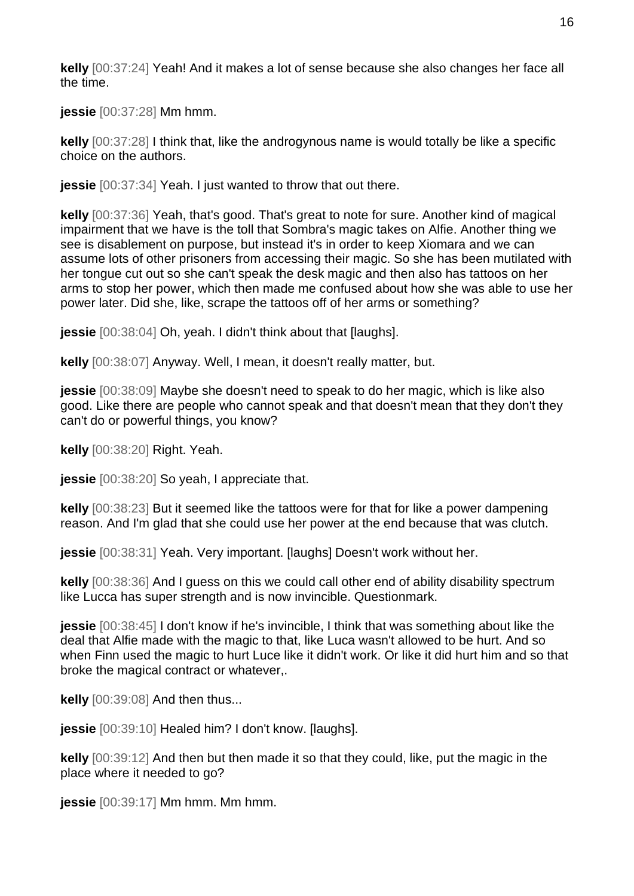**kelly** [00:37:24] Yeah! And it makes a lot of sense because she also changes her face all the time.

**jessie** [00:37:28] Mm hmm.

**kelly** [00:37:28] I think that, like the androgynous name is would totally be like a specific choice on the authors.

**jessie** [00:37:34] Yeah. I just wanted to throw that out there.

**kelly** [00:37:36] Yeah, that's good. That's great to note for sure. Another kind of magical impairment that we have is the toll that Sombra's magic takes on Alfie. Another thing we see is disablement on purpose, but instead it's in order to keep Xiomara and we can assume lots of other prisoners from accessing their magic. So she has been mutilated with her tongue cut out so she can't speak the desk magic and then also has tattoos on her arms to stop her power, which then made me confused about how she was able to use her power later. Did she, like, scrape the tattoos off of her arms or something?

**jessie** [00:38:04] Oh, yeah. I didn't think about that [laughs].

**kelly** [00:38:07] Anyway. Well, I mean, it doesn't really matter, but.

**jessie** [00:38:09] Maybe she doesn't need to speak to do her magic, which is like also good. Like there are people who cannot speak and that doesn't mean that they don't they can't do or powerful things, you know?

**kelly** [00:38:20] Right. Yeah.

**jessie** [00:38:20] So yeah, I appreciate that.

**kelly** [00:38:23] But it seemed like the tattoos were for that for like a power dampening reason. And I'm glad that she could use her power at the end because that was clutch.

**jessie** [00:38:31] Yeah. Very important. [laughs] Doesn't work without her.

**kelly** [00:38:36] And I guess on this we could call other end of ability disability spectrum like Lucca has super strength and is now invincible. Questionmark.

**jessie** [00:38:45] I don't know if he's invincible, I think that was something about like the deal that Alfie made with the magic to that, like Luca wasn't allowed to be hurt. And so when Finn used the magic to hurt Luce like it didn't work. Or like it did hurt him and so that broke the magical contract or whatever,.

**kelly** [00:39:08] And then thus...

**jessie** [00:39:10] Healed him? I don't know. [laughs].

**kelly** [00:39:12] And then but then made it so that they could, like, put the magic in the place where it needed to go?

**jessie** [00:39:17] Mm hmm. Mm hmm.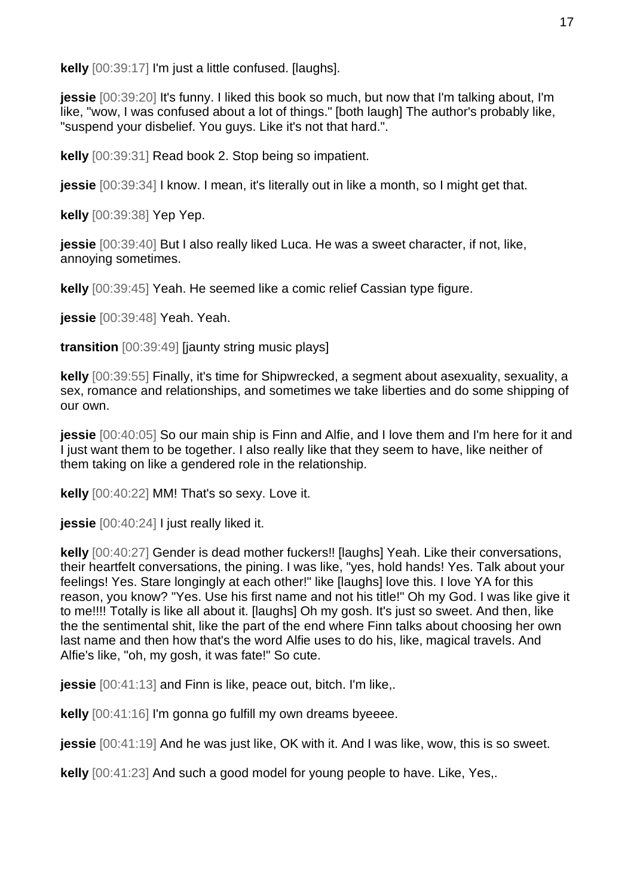**kelly** [00:39:17] I'm just a little confused. [laughs].

**jessie** [00:39:20] It's funny. I liked this book so much, but now that I'm talking about, I'm like, "wow, I was confused about a lot of things." [both laugh] The author's probably like, "suspend your disbelief. You guys. Like it's not that hard.".

**kelly** [00:39:31] Read book 2. Stop being so impatient.

**jessie** [00:39:34] I know. I mean, it's literally out in like a month, so I might get that.

**kelly** [00:39:38] Yep Yep.

**jessie** [00:39:40] But I also really liked Luca. He was a sweet character, if not, like, annoying sometimes.

**kelly** [00:39:45] Yeah. He seemed like a comic relief Cassian type figure.

**jessie** [00:39:48] Yeah. Yeah.

**transition** [00:39:49] [jaunty string music plays]

**kelly** [00:39:55] Finally, it's time for Shipwrecked, a segment about asexuality, sexuality, a sex, romance and relationships, and sometimes we take liberties and do some shipping of our own.

**jessie** [00:40:05] So our main ship is Finn and Alfie, and I love them and I'm here for it and I just want them to be together. I also really like that they seem to have, like neither of them taking on like a gendered role in the relationship.

**kelly** [00:40:22] MM! That's so sexy. Love it.

**jessie** [00:40:24] I just really liked it.

**kelly** [00:40:27] Gender is dead mother fuckers!! [laughs] Yeah. Like their conversations, their heartfelt conversations, the pining. I was like, "yes, hold hands! Yes. Talk about your feelings! Yes. Stare longingly at each other!" like [laughs] love this. I love YA for this reason, you know? "Yes. Use his first name and not his title!" Oh my God. I was like give it to me!!!! Totally is like all about it. [laughs] Oh my gosh. It's just so sweet. And then, like the the sentimental shit, like the part of the end where Finn talks about choosing her own last name and then how that's the word Alfie uses to do his, like, magical travels. And Alfie's like, "oh, my gosh, it was fate!" So cute.

**jessie** [00:41:13] and Finn is like, peace out, bitch. I'm like,.

**kelly** [00:41:16] I'm gonna go fulfill my own dreams byeeee.

**jessie** [00:41:19] And he was just like, OK with it. And I was like, wow, this is so sweet.

**kelly** [00:41:23] And such a good model for young people to have. Like, Yes,.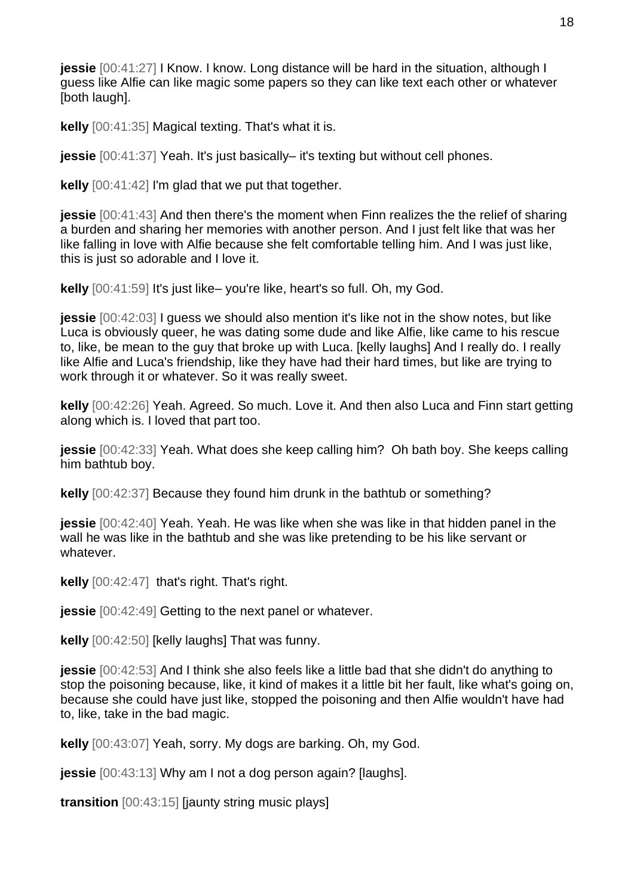**jessie** [00:41:27] I Know. I know. Long distance will be hard in the situation, although I guess like Alfie can like magic some papers so they can like text each other or whatever [both laugh].

**kelly** [00:41:35] Magical texting. That's what it is.

**jessie** [00:41:37] Yeah. It's just basically– it's texting but without cell phones.

**kelly** [00:41:42] I'm glad that we put that together.

**jessie** [00:41:43] And then there's the moment when Finn realizes the the relief of sharing a burden and sharing her memories with another person. And I just felt like that was her like falling in love with Alfie because she felt comfortable telling him. And I was just like, this is just so adorable and I love it.

**kelly** [00:41:59] It's just like– you're like, heart's so full. Oh, my God.

**jessie** [00:42:03] I guess we should also mention it's like not in the show notes, but like Luca is obviously queer, he was dating some dude and like Alfie, like came to his rescue to, like, be mean to the guy that broke up with Luca. [kelly laughs] And I really do. I really like Alfie and Luca's friendship, like they have had their hard times, but like are trying to work through it or whatever. So it was really sweet.

**kelly** [00:42:26] Yeah. Agreed. So much. Love it. And then also Luca and Finn start getting along which is. I loved that part too.

**jessie** [00:42:33] Yeah. What does she keep calling him? Oh bath boy. She keeps calling him bathtub boy.

**kelly** [00:42:37] Because they found him drunk in the bathtub or something?

**jessie** [00:42:40] Yeah. Yeah. He was like when she was like in that hidden panel in the wall he was like in the bathtub and she was like pretending to be his like servant or whatever.

**kelly** [00:42:47] that's right. That's right.

**jessie** [00:42:49] Getting to the next panel or whatever.

**kelly** [00:42:50] [kelly laughs] That was funny.

**jessie** [00:42:53] And I think she also feels like a little bad that she didn't do anything to stop the poisoning because, like, it kind of makes it a little bit her fault, like what's going on, because she could have just like, stopped the poisoning and then Alfie wouldn't have had to, like, take in the bad magic.

**kelly** [00:43:07] Yeah, sorry. My dogs are barking. Oh, my God.

**jessie** [00:43:13] Why am I not a dog person again? [laughs].

**transition** [00:43:15] [jaunty string music plays]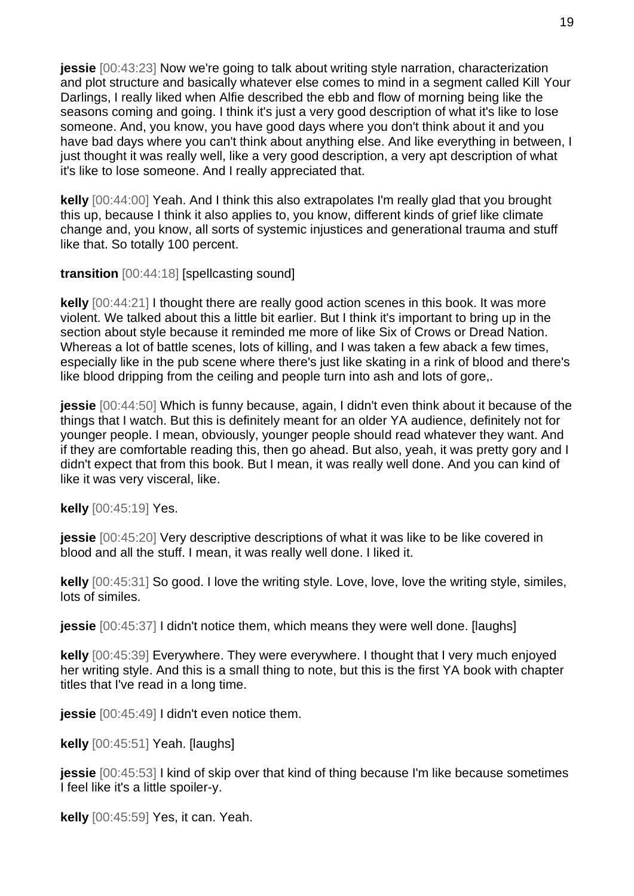**jessie** [00:43:23] Now we're going to talk about writing style narration, characterization and plot structure and basically whatever else comes to mind in a segment called Kill Your Darlings, I really liked when Alfie described the ebb and flow of morning being like the seasons coming and going. I think it's just a very good description of what it's like to lose someone. And, you know, you have good days where you don't think about it and you have bad days where you can't think about anything else. And like everything in between, I just thought it was really well, like a very good description, a very apt description of what it's like to lose someone. And I really appreciated that.

**kelly** [00:44:00] Yeah. And I think this also extrapolates I'm really glad that you brought this up, because I think it also applies to, you know, different kinds of grief like climate change and, you know, all sorts of systemic injustices and generational trauma and stuff like that. So totally 100 percent.

**transition** [00:44:18] [spellcasting sound]

**kelly** [00:44:21] I thought there are really good action scenes in this book. It was more violent. We talked about this a little bit earlier. But I think it's important to bring up in the section about style because it reminded me more of like Six of Crows or Dread Nation. Whereas a lot of battle scenes, lots of killing, and I was taken a few aback a few times, especially like in the pub scene where there's just like skating in a rink of blood and there's like blood dripping from the ceiling and people turn into ash and lots of gore,.

**jessie** [00:44:50] Which is funny because, again, I didn't even think about it because of the things that I watch. But this is definitely meant for an older YA audience, definitely not for younger people. I mean, obviously, younger people should read whatever they want. And if they are comfortable reading this, then go ahead. But also, yeah, it was pretty gory and I didn't expect that from this book. But I mean, it was really well done. And you can kind of like it was very visceral, like.

**kelly** [00:45:19] Yes.

**jessie** [00:45:20] Very descriptive descriptions of what it was like to be like covered in blood and all the stuff. I mean, it was really well done. I liked it.

**kelly** [00:45:31] So good. I love the writing style. Love, love, love the writing style, similes, lots of similes.

**jessie** [00:45:37] I didn't notice them, which means they were well done. [laughs]

**kelly** [00:45:39] Everywhere. They were everywhere. I thought that I very much enjoyed her writing style. And this is a small thing to note, but this is the first YA book with chapter titles that I've read in a long time.

**jessie** [00:45:49] I didn't even notice them.

**kelly** [00:45:51] Yeah. [laughs]

**jessie** [00:45:53] I kind of skip over that kind of thing because I'm like because sometimes I feel like it's a little spoiler-y.

**kelly** [00:45:59] Yes, it can. Yeah.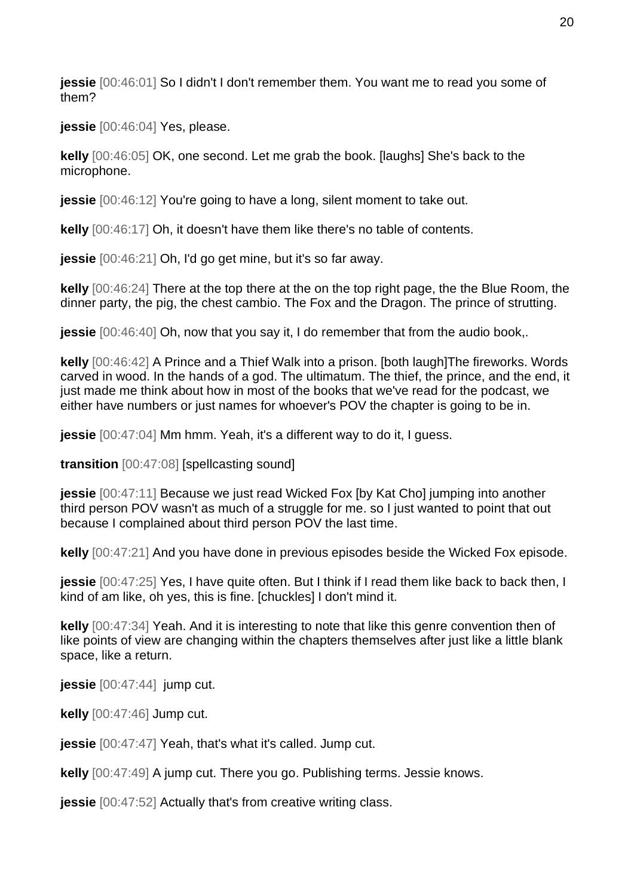**jessie** [00:46:01] So I didn't I don't remember them. You want me to read you some of them?

**jessie** [00:46:04] Yes, please.

**kelly** [00:46:05] OK, one second. Let me grab the book. [laughs] She's back to the microphone.

**jessie**  $[00:46:12]$  You're going to have a long, silent moment to take out.

**kelly** [00:46:17] Oh, it doesn't have them like there's no table of contents.

**jessie** [00:46:21] Oh, I'd go get mine, but it's so far away.

**kelly** [00:46:24] There at the top there at the on the top right page, the the Blue Room, the dinner party, the pig, the chest cambio. The Fox and the Dragon. The prince of strutting.

**jessie** [00:46:40] Oh, now that you say it, I do remember that from the audio book,.

**kelly** [00:46:42] A Prince and a Thief Walk into a prison. [both laugh]The fireworks. Words carved in wood. In the hands of a god. The ultimatum. The thief, the prince, and the end, it just made me think about how in most of the books that we've read for the podcast, we either have numbers or just names for whoever's POV the chapter is going to be in.

**jessie** [00:47:04] Mm hmm. Yeah, it's a different way to do it, I guess.

**transition** [00:47:08] [spellcasting sound]

**jessie** [00:47:11] Because we just read Wicked Fox [by Kat Cho] jumping into another third person POV wasn't as much of a struggle for me. so I just wanted to point that out because I complained about third person POV the last time.

**kelly** [00:47:21] And you have done in previous episodes beside the Wicked Fox episode.

**jessie** [00:47:25] Yes, I have quite often. But I think if I read them like back to back then, I kind of am like, oh yes, this is fine. [chuckles] I don't mind it.

**kelly** [00:47:34] Yeah. And it is interesting to note that like this genre convention then of like points of view are changing within the chapters themselves after just like a little blank space, like a return.

**jessie** [00:47:44] jump cut.

**kelly** [00:47:46] Jump cut.

**jessie** [00:47:47] Yeah, that's what it's called. Jump cut.

**kelly** [00:47:49] A jump cut. There you go. Publishing terms. Jessie knows.

**jessie**  $[00:47:52]$  Actually that's from creative writing class.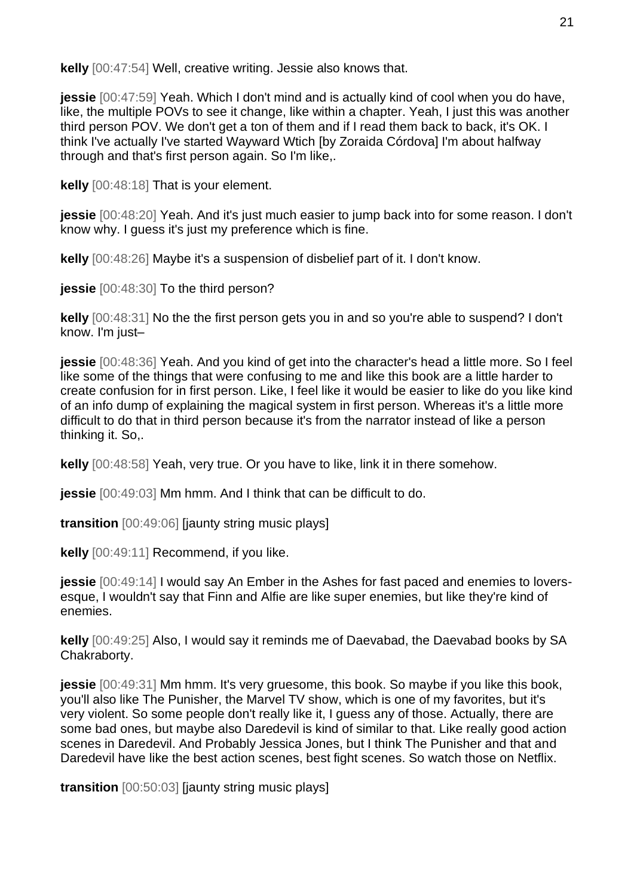**kelly** [00:47:54] Well, creative writing. Jessie also knows that.

**jessie** [00:47:59] Yeah. Which I don't mind and is actually kind of cool when you do have, like, the multiple POVs to see it change, like within a chapter. Yeah, I just this was another third person POV. We don't get a ton of them and if I read them back to back, it's OK. I think I've actually I've started Wayward Wtich [by Zoraida Córdova] I'm about halfway through and that's first person again. So I'm like,.

**kelly** [00:48:18] That is your element.

**jessie** [00:48:20] Yeah. And it's just much easier to jump back into for some reason. I don't know why. I guess it's just my preference which is fine.

**kelly** [00:48:26] Maybe it's a suspension of disbelief part of it. I don't know.

**jessie** [00:48:30] To the third person?

**kelly** [00:48:31] No the the first person gets you in and so you're able to suspend? I don't know. I'm just–

**jessie** [00:48:36] Yeah. And you kind of get into the character's head a little more. So I feel like some of the things that were confusing to me and like this book are a little harder to create confusion for in first person. Like, I feel like it would be easier to like do you like kind of an info dump of explaining the magical system in first person. Whereas it's a little more difficult to do that in third person because it's from the narrator instead of like a person thinking it. So,.

**kelly** [00:48:58] Yeah, very true. Or you have to like, link it in there somehow.

**jessie** [00:49:03] Mm hmm. And I think that can be difficult to do.

**transition** [00:49:06] [jaunty string music plays]

**kelly** [00:49:11] Recommend, if you like.

**jessie** [00:49:14] I would say An Ember in the Ashes for fast paced and enemies to loversesque, I wouldn't say that Finn and Alfie are like super enemies, but like they're kind of enemies.

**kelly** [00:49:25] Also, I would say it reminds me of Daevabad, the Daevabad books by SA Chakraborty.

**jessie** [00:49:31] Mm hmm. It's very gruesome, this book. So maybe if you like this book, you'll also like The Punisher, the Marvel TV show, which is one of my favorites, but it's very violent. So some people don't really like it, I guess any of those. Actually, there are some bad ones, but maybe also Daredevil is kind of similar to that. Like really good action scenes in Daredevil. And Probably Jessica Jones, but I think The Punisher and that and Daredevil have like the best action scenes, best fight scenes. So watch those on Netflix.

**transition** [00:50:03] [jaunty string music plays]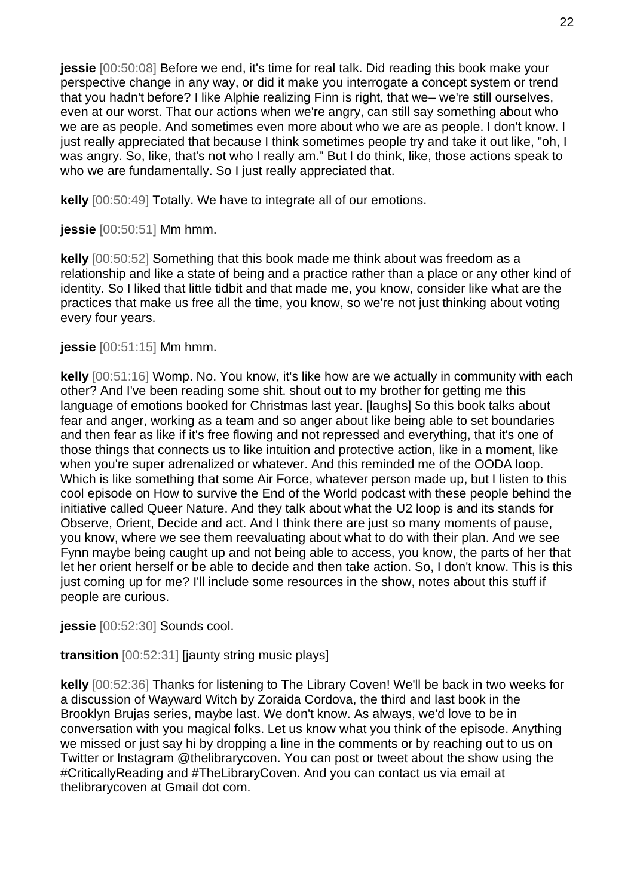**jessie** [00:50:08] Before we end, it's time for real talk. Did reading this book make your perspective change in any way, or did it make you interrogate a concept system or trend that you hadn't before? I like Alphie realizing Finn is right, that we– we're still ourselves, even at our worst. That our actions when we're angry, can still say something about who we are as people. And sometimes even more about who we are as people. I don't know. I just really appreciated that because I think sometimes people try and take it out like, "oh, I was angry. So, like, that's not who I really am." But I do think, like, those actions speak to who we are fundamentally. So I just really appreciated that.

**kelly** [00:50:49] Totally. We have to integrate all of our emotions.

**jessie** [00:50:51] Mm hmm.

**kelly** [00:50:52] Something that this book made me think about was freedom as a relationship and like a state of being and a practice rather than a place or any other kind of identity. So I liked that little tidbit and that made me, you know, consider like what are the practices that make us free all the time, you know, so we're not just thinking about voting every four years.

**jessie** [00:51:15] Mm hmm.

**kelly** [00:51:16] Womp. No. You know, it's like how are we actually in community with each other? And I've been reading some shit. shout out to my brother for getting me this language of emotions booked for Christmas last year. [laughs] So this book talks about fear and anger, working as a team and so anger about like being able to set boundaries and then fear as like if it's free flowing and not repressed and everything, that it's one of those things that connects us to like intuition and protective action, like in a moment, like when you're super adrenalized or whatever. And this reminded me of the OODA loop. Which is like something that some Air Force, whatever person made up, but I listen to this cool episode on How to survive the End of the World podcast with these people behind the initiative called Queer Nature. And they talk about what the U2 loop is and its stands for Observe, Orient, Decide and act. And I think there are just so many moments of pause, you know, where we see them reevaluating about what to do with their plan. And we see Fynn maybe being caught up and not being able to access, you know, the parts of her that let her orient herself or be able to decide and then take action. So, I don't know. This is this just coming up for me? I'll include some resources in the show, notes about this stuff if people are curious.

**jessie** [00:52:30] Sounds cool.

**transition** [00:52:31] [jaunty string music plays]

**kelly** [00:52:36] Thanks for listening to The Library Coven! We'll be back in two weeks for a discussion of Wayward Witch by Zoraida Cordova, the third and last book in the Brooklyn Brujas series, maybe last. We don't know. As always, we'd love to be in conversation with you magical folks. Let us know what you think of the episode. Anything we missed or just say hi by dropping a line in the comments or by reaching out to us on Twitter or Instagram @thelibrarycoven. You can post or tweet about the show using the #CriticallyReading and #TheLibraryCoven. And you can contact us via email at thelibrarycoven at Gmail dot com.